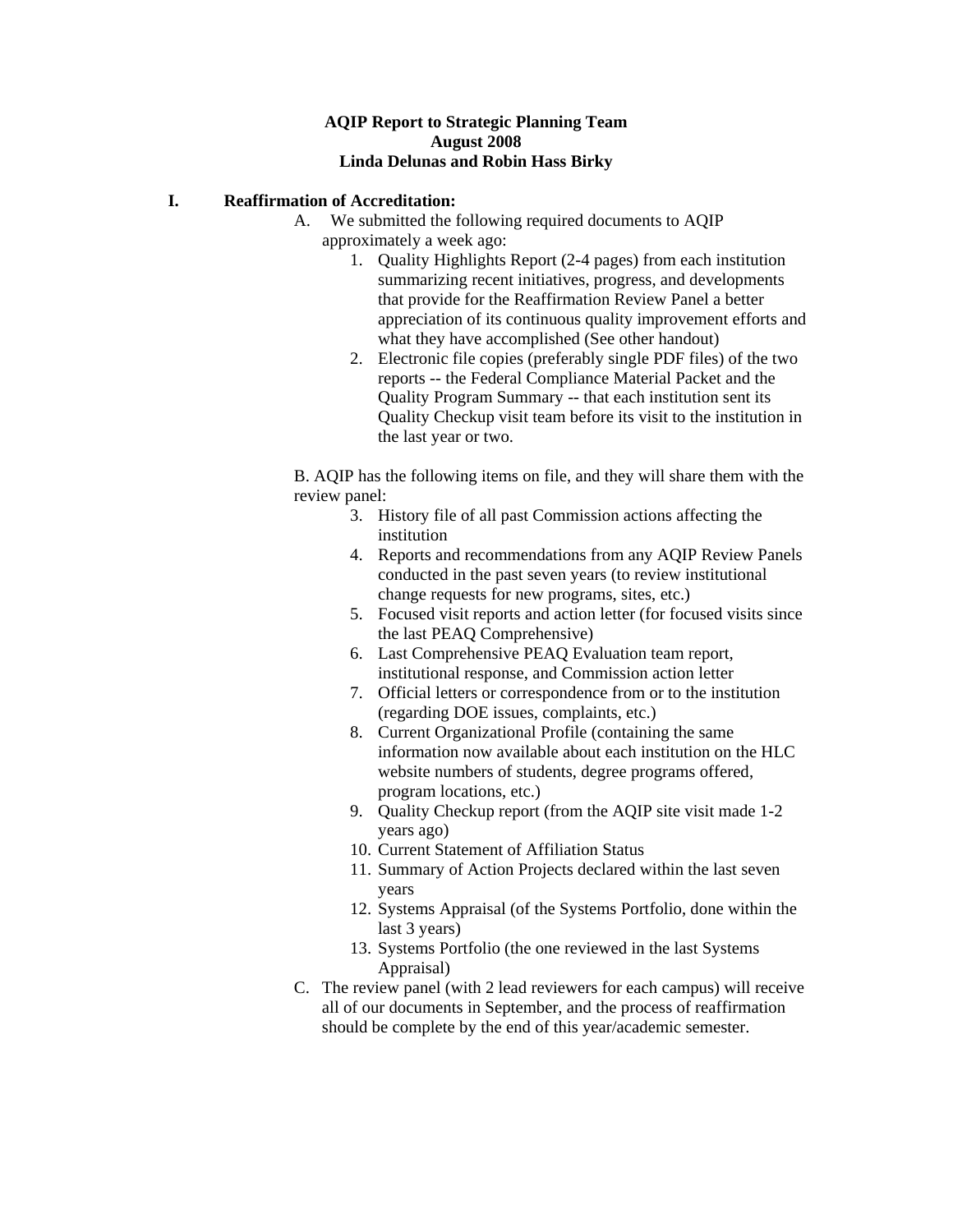## **AQIP Report to Strategic Planning Team August 2008 Linda Delunas and Robin Hass Birky**

# **I. Reaffirmation of Accreditation:**

- A. We submitted the following required documents to AQIP approximately a week ago:
	- 1. Quality Highlights Report (2-4 pages) from each institution summarizing recent initiatives, progress, and developments that provide for the Reaffirmation Review Panel a better appreciation of its continuous quality improvement efforts and what they have accomplished (See other handout)
	- 2. Electronic file copies (preferably single PDF files) of the two reports -- the Federal Compliance Material Packet and the Quality Program Summary -- that each institution sent its Quality Checkup visit team before its visit to the institution in the last year or two.

B. AQIP has the following items on file, and they will share them with the review panel:

- 3. History file of all past Commission actions affecting the institution
- 4. Reports and recommendations from any AQIP Review Panels conducted in the past seven years (to review institutional change requests for new programs, sites, etc.)
- 5. Focused visit reports and action letter (for focused visits since the last PEAQ Comprehensive)
- 6. Last Comprehensive PEAQ Evaluation team report, institutional response, and Commission action letter
- 7. Official letters or correspondence from or to the institution (regarding DOE issues, complaints, etc.)
- 8. Current Organizational Profile (containing the same information now available about each institution on the HLC website numbers of students, degree programs offered, program locations, etc.)
- 9. Quality Checkup report (from the AQIP site visit made 1-2 years ago)
- 10. Current Statement of Affiliation Status
- 11. Summary of Action Projects declared within the last seven years
- 12. Systems Appraisal (of the Systems Portfolio, done within the last 3 years)
- 13. Systems Portfolio (the one reviewed in the last Systems Appraisal)
- C. The review panel (with 2 lead reviewers for each campus) will receive all of our documents in September, and the process of reaffirmation should be complete by the end of this year/academic semester.